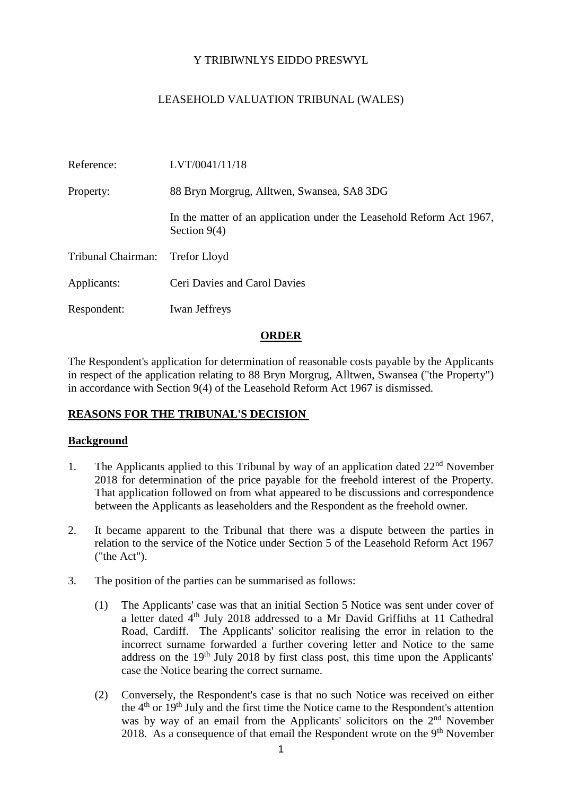# Y TRIBIWNLYS EIDDO PRESWYL

# LEASEHOLD VALUATION TRIBUNAL (WALES)

| Reference:         | LVT/0041/11/18                                                                         |
|--------------------|----------------------------------------------------------------------------------------|
| Property:          | 88 Bryn Morgrug, Alltwen, Swansea, SA8 3DG                                             |
|                    | In the matter of an application under the Leasehold Reform Act 1967,<br>Section $9(4)$ |
| Tribunal Chairman: | <b>Trefor Lloyd</b>                                                                    |
| Applicants:        | Ceri Davies and Carol Davies                                                           |
| Respondent:        | <b>Iwan Jeffreys</b>                                                                   |

## **ORDER**

The Respondent's application for determination of reasonable costs payable by the Applicants in respect of the application relating to 88 Bryn Morgrug, Alltwen, Swansea ("the Property") in accordance with Section 9(4) of the Leasehold Reform Act 1967 is dismissed.

## **REASONS FOR THE TRIBUNAL'S DECISION**

#### **Background**

- 1. The Applicants applied to this Tribunal by way of an application dated  $22<sup>nd</sup>$  November 2018 for determination of the price payable for the freehold interest of the Property. That application followed on from what appeared to be discussions and correspondence between the Applicants as leaseholders and the Respondent as the freehold owner.
- 2. It became apparent to the Tribunal that there was a dispute between the parties in relation to the service of the Notice under Section 5 of the Leasehold Reform Act 1967 ("the Act").
- 3. The position of the parties can be summarised as follows:
	- (1) The Applicants' case was that an initial Section 5 Notice was sent under cover of a letter dated 4<sup>th</sup> July 2018 addressed to a Mr David Griffiths at 11 Cathedral Road, Cardiff. The Applicants' solicitor realising the error in relation to the incorrect surname forwarded a further covering letter and Notice to the same address on the 19th July 2018 by first class post, this time upon the Applicants' case the Notice bearing the correct surname.
	- (2) Conversely, the Respondent's case is that no such Notice was received on either the  $4<sup>th</sup>$  or  $19<sup>th</sup>$  July and the first time the Notice came to the Respondent's attention was by way of an email from the Applicants' solicitors on the 2<sup>nd</sup> November 2018. As a consequence of that email the Respondent wrote on the  $9<sup>th</sup>$  November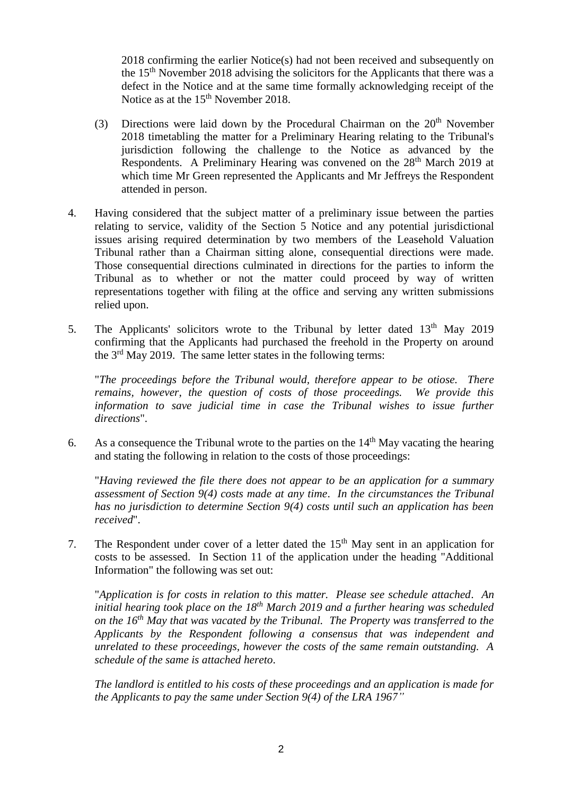2018 confirming the earlier Notice(s) had not been received and subsequently on the 15<sup>th</sup> November 2018 advising the solicitors for the Applicants that there was a defect in the Notice and at the same time formally acknowledging receipt of the Notice as at the 15<sup>th</sup> November 2018.

- (3) Directions were laid down by the Procedural Chairman on the  $20<sup>th</sup>$  November 2018 timetabling the matter for a Preliminary Hearing relating to the Tribunal's jurisdiction following the challenge to the Notice as advanced by the Respondents. A Preliminary Hearing was convened on the 28<sup>th</sup> March 2019 at which time Mr Green represented the Applicants and Mr Jeffreys the Respondent attended in person.
- 4. Having considered that the subject matter of a preliminary issue between the parties relating to service, validity of the Section 5 Notice and any potential jurisdictional issues arising required determination by two members of the Leasehold Valuation Tribunal rather than a Chairman sitting alone, consequential directions were made. Those consequential directions culminated in directions for the parties to inform the Tribunal as to whether or not the matter could proceed by way of written representations together with filing at the office and serving any written submissions relied upon.
- 5. The Applicants' solicitors wrote to the Tribunal by letter dated  $13<sup>th</sup>$  May 2019 confirming that the Applicants had purchased the freehold in the Property on around the  $3<sup>rd</sup>$  May 2019. The same letter states in the following terms:

"*The proceedings before the Tribunal would, therefore appear to be otiose. There remains, however, the question of costs of those proceedings. We provide this information to save judicial time in case the Tribunal wishes to issue further directions*".

6. As a consequence the Tribunal wrote to the parties on the  $14<sup>th</sup>$  May vacating the hearing and stating the following in relation to the costs of those proceedings:

"*Having reviewed the file there does not appear to be an application for a summary assessment of Section 9(4) costs made at any time*. *In the circumstances the Tribunal has no jurisdiction to determine Section 9(4) costs until such an application has been received*".

7. The Respondent under cover of a letter dated the  $15<sup>th</sup>$  May sent in an application for costs to be assessed. In Section 11 of the application under the heading "Additional Information" the following was set out:

"*Application is for costs in relation to this matter. Please see schedule attached*. *An initial hearing took place on the 18th March 2019 and a further hearing was scheduled on the 16th May that was vacated by the Tribunal. The Property was transferred to the Applicants by the Respondent following a consensus that was independent and unrelated to these proceedings, however the costs of the same remain outstanding. A schedule of the same is attached hereto*.

*The landlord is entitled to his costs of these proceedings and an application is made for the Applicants to pay the same under Section 9(4) of the LRA 1967"*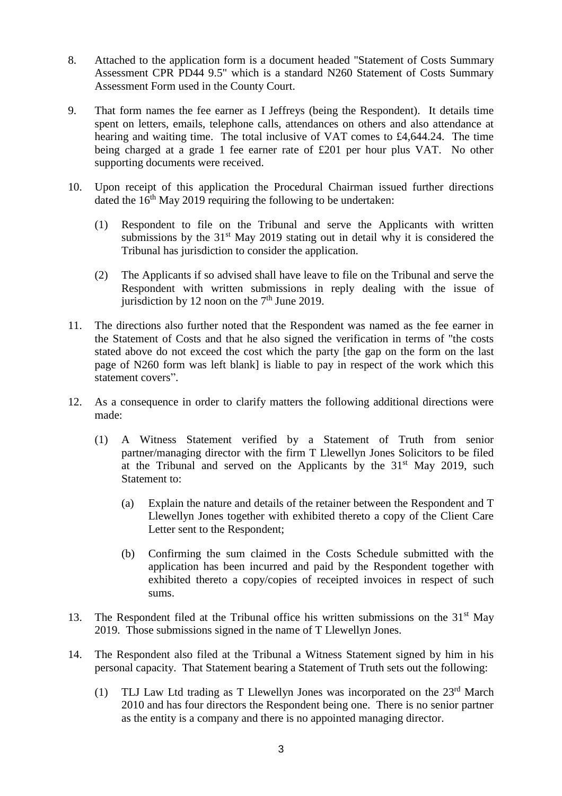- 8. Attached to the application form is a document headed "Statement of Costs Summary Assessment CPR PD44 9.5" which is a standard N260 Statement of Costs Summary Assessment Form used in the County Court.
- 9. That form names the fee earner as I Jeffreys (being the Respondent). It details time spent on letters, emails, telephone calls, attendances on others and also attendance at hearing and waiting time. The total inclusive of VAT comes to £4,644.24. The time being charged at a grade 1 fee earner rate of £201 per hour plus VAT. No other supporting documents were received.
- 10. Upon receipt of this application the Procedural Chairman issued further directions dated the  $16<sup>th</sup>$  May 2019 requiring the following to be undertaken:
	- (1) Respondent to file on the Tribunal and serve the Applicants with written submissions by the  $31<sup>st</sup>$  May 2019 stating out in detail why it is considered the Tribunal has jurisdiction to consider the application.
	- (2) The Applicants if so advised shall have leave to file on the Tribunal and serve the Respondent with written submissions in reply dealing with the issue of jurisdiction by 12 noon on the  $7<sup>th</sup>$  June 2019.
- 11. The directions also further noted that the Respondent was named as the fee earner in the Statement of Costs and that he also signed the verification in terms of "the costs stated above do not exceed the cost which the party [the gap on the form on the last page of N260 form was left blank] is liable to pay in respect of the work which this statement covers".
- 12. As a consequence in order to clarify matters the following additional directions were made:
	- (1) A Witness Statement verified by a Statement of Truth from senior partner/managing director with the firm T Llewellyn Jones Solicitors to be filed at the Tribunal and served on the Applicants by the  $31<sup>st</sup>$  May 2019, such Statement to:
		- (a) Explain the nature and details of the retainer between the Respondent and T Llewellyn Jones together with exhibited thereto a copy of the Client Care Letter sent to the Respondent;
		- (b) Confirming the sum claimed in the Costs Schedule submitted with the application has been incurred and paid by the Respondent together with exhibited thereto a copy/copies of receipted invoices in respect of such sums.
- 13. The Respondent filed at the Tribunal office his written submissions on the  $31<sup>st</sup>$  May 2019. Those submissions signed in the name of T Llewellyn Jones.
- 14. The Respondent also filed at the Tribunal a Witness Statement signed by him in his personal capacity. That Statement bearing a Statement of Truth sets out the following:
	- (1) TLJ Law Ltd trading as T Llewellyn Jones was incorporated on the  $23<sup>rd</sup>$  March 2010 and has four directors the Respondent being one. There is no senior partner as the entity is a company and there is no appointed managing director.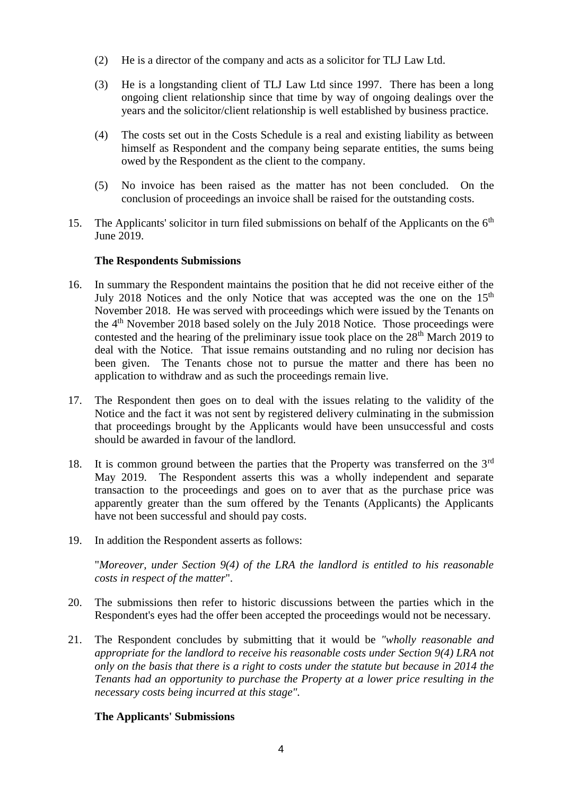- (2) He is a director of the company and acts as a solicitor for TLJ Law Ltd.
- (3) He is a longstanding client of TLJ Law Ltd since 1997. There has been a long ongoing client relationship since that time by way of ongoing dealings over the years and the solicitor/client relationship is well established by business practice.
- (4) The costs set out in the Costs Schedule is a real and existing liability as between himself as Respondent and the company being separate entities, the sums being owed by the Respondent as the client to the company.
- (5) No invoice has been raised as the matter has not been concluded. On the conclusion of proceedings an invoice shall be raised for the outstanding costs.
- 15. The Applicants' solicitor in turn filed submissions on behalf of the Applicants on the  $6<sup>th</sup>$ June 2019.

## **The Respondents Submissions**

- 16. In summary the Respondent maintains the position that he did not receive either of the July 2018 Notices and the only Notice that was accepted was the one on the 15<sup>th</sup> November 2018. He was served with proceedings which were issued by the Tenants on the 4th November 2018 based solely on the July 2018 Notice. Those proceedings were contested and the hearing of the preliminary issue took place on the  $28<sup>th</sup>$  March 2019 to deal with the Notice. That issue remains outstanding and no ruling nor decision has been given. The Tenants chose not to pursue the matter and there has been no application to withdraw and as such the proceedings remain live.
- 17. The Respondent then goes on to deal with the issues relating to the validity of the Notice and the fact it was not sent by registered delivery culminating in the submission that proceedings brought by the Applicants would have been unsuccessful and costs should be awarded in favour of the landlord.
- 18. It is common ground between the parties that the Property was transferred on the  $3<sup>rd</sup>$ May 2019. The Respondent asserts this was a wholly independent and separate transaction to the proceedings and goes on to aver that as the purchase price was apparently greater than the sum offered by the Tenants (Applicants) the Applicants have not been successful and should pay costs.
- 19. In addition the Respondent asserts as follows:

"*Moreover, under Section 9(4) of the LRA the landlord is entitled to his reasonable costs in respect of the matter*".

- 20. The submissions then refer to historic discussions between the parties which in the Respondent's eyes had the offer been accepted the proceedings would not be necessary.
- 21. The Respondent concludes by submitting that it would be *"wholly reasonable and appropriate for the landlord to receive his reasonable costs under Section 9(4) LRA not only on the basis that there is a right to costs under the statute but because in 2014 the Tenants had an opportunity to purchase the Property at a lower price resulting in the necessary costs being incurred at this stage".*

## **The Applicants' Submissions**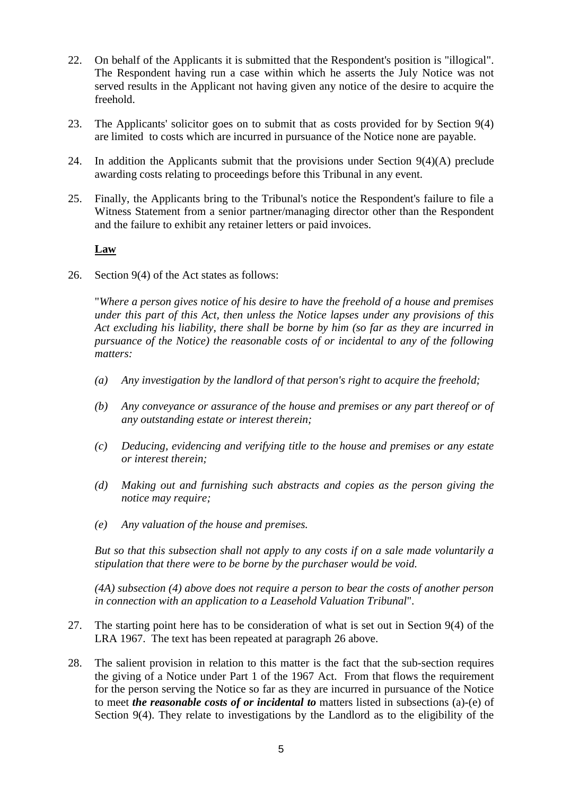- 22. On behalf of the Applicants it is submitted that the Respondent's position is "illogical". The Respondent having run a case within which he asserts the July Notice was not served results in the Applicant not having given any notice of the desire to acquire the freehold.
- 23. The Applicants' solicitor goes on to submit that as costs provided for by Section 9(4) are limited to costs which are incurred in pursuance of the Notice none are payable.
- 24. In addition the Applicants submit that the provisions under Section  $9(4)(A)$  preclude awarding costs relating to proceedings before this Tribunal in any event.
- 25. Finally, the Applicants bring to the Tribunal's notice the Respondent's failure to file a Witness Statement from a senior partner/managing director other than the Respondent and the failure to exhibit any retainer letters or paid invoices.

## **Law**

26. Section 9(4) of the Act states as follows:

"*Where a person gives notice of his desire to have the freehold of a house and premises under this part of this Act, then unless the Notice lapses under any provisions of this Act excluding his liability, there shall be borne by him (so far as they are incurred in pursuance of the Notice) the reasonable costs of or incidental to any of the following matters:*

- *(a) Any investigation by the landlord of that person's right to acquire the freehold;*
- *(b) Any conveyance or assurance of the house and premises or any part thereof or of any outstanding estate or interest therein;*
- *(c) Deducing, evidencing and verifying title to the house and premises or any estate or interest therein;*
- *(d) Making out and furnishing such abstracts and copies as the person giving the notice may require;*
- *(e) Any valuation of the house and premises.*

*But so that this subsection shall not apply to any costs if on a sale made voluntarily a stipulation that there were to be borne by the purchaser would be void.* 

*(4A) subsection (4) above does not require a person to bear the costs of another person in connection with an application to a Leasehold Valuation Tribunal*".

- 27. The starting point here has to be consideration of what is set out in Section 9(4) of the LRA 1967. The text has been repeated at paragraph 26 above.
- 28. The salient provision in relation to this matter is the fact that the sub-section requires the giving of a Notice under Part 1 of the 1967 Act. From that flows the requirement for the person serving the Notice so far as they are incurred in pursuance of the Notice to meet *the reasonable costs of or incidental to* matters listed in subsections (a)-(e) of Section 9(4). They relate to investigations by the Landlord as to the eligibility of the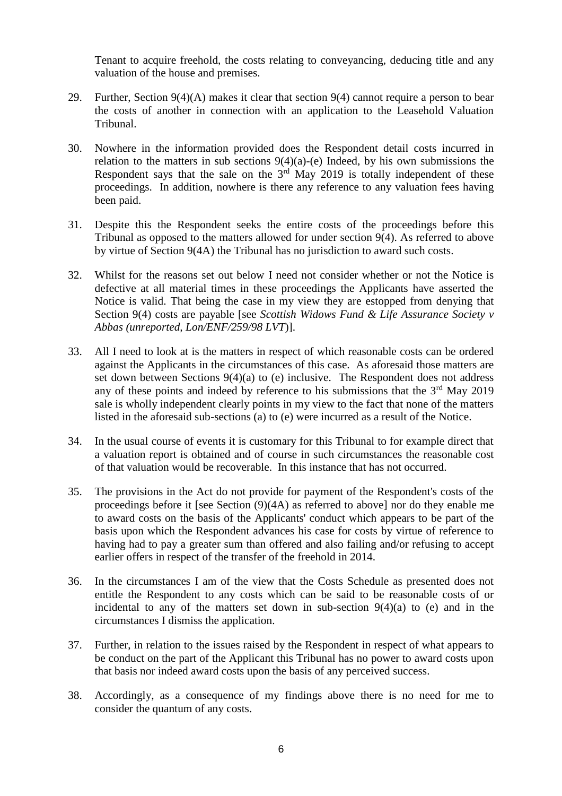Tenant to acquire freehold, the costs relating to conveyancing, deducing title and any valuation of the house and premises.

- 29. Further, Section  $9(4)(A)$  makes it clear that section  $9(4)$  cannot require a person to bear the costs of another in connection with an application to the Leasehold Valuation Tribunal.
- 30. Nowhere in the information provided does the Respondent detail costs incurred in relation to the matters in sub sections  $9(4)(a)$ -(e) Indeed, by his own submissions the Respondent says that the sale on the  $3<sup>rd</sup>$  May 2019 is totally independent of these proceedings. In addition, nowhere is there any reference to any valuation fees having been paid.
- 31. Despite this the Respondent seeks the entire costs of the proceedings before this Tribunal as opposed to the matters allowed for under section 9(4). As referred to above by virtue of Section 9(4A) the Tribunal has no jurisdiction to award such costs.
- 32. Whilst for the reasons set out below I need not consider whether or not the Notice is defective at all material times in these proceedings the Applicants have asserted the Notice is valid. That being the case in my view they are estopped from denying that Section 9(4) costs are payable [see *Scottish Widows Fund & Life Assurance Society v Abbas (unreported, Lon/ENF/259/98 LVT*)].
- 33. All I need to look at is the matters in respect of which reasonable costs can be ordered against the Applicants in the circumstances of this case. As aforesaid those matters are set down between Sections 9(4)(a) to (e) inclusive. The Respondent does not address any of these points and indeed by reference to his submissions that the  $3<sup>rd</sup>$  May 2019 sale is wholly independent clearly points in my view to the fact that none of the matters listed in the aforesaid sub-sections (a) to (e) were incurred as a result of the Notice.
- 34. In the usual course of events it is customary for this Tribunal to for example direct that a valuation report is obtained and of course in such circumstances the reasonable cost of that valuation would be recoverable. In this instance that has not occurred.
- 35. The provisions in the Act do not provide for payment of the Respondent's costs of the proceedings before it [see Section (9)(4A) as referred to above] nor do they enable me to award costs on the basis of the Applicants' conduct which appears to be part of the basis upon which the Respondent advances his case for costs by virtue of reference to having had to pay a greater sum than offered and also failing and/or refusing to accept earlier offers in respect of the transfer of the freehold in 2014.
- 36. In the circumstances I am of the view that the Costs Schedule as presented does not entitle the Respondent to any costs which can be said to be reasonable costs of or incidental to any of the matters set down in sub-section  $9(4)(a)$  to (e) and in the circumstances I dismiss the application.
- 37. Further, in relation to the issues raised by the Respondent in respect of what appears to be conduct on the part of the Applicant this Tribunal has no power to award costs upon that basis nor indeed award costs upon the basis of any perceived success.
- 38. Accordingly, as a consequence of my findings above there is no need for me to consider the quantum of any costs.